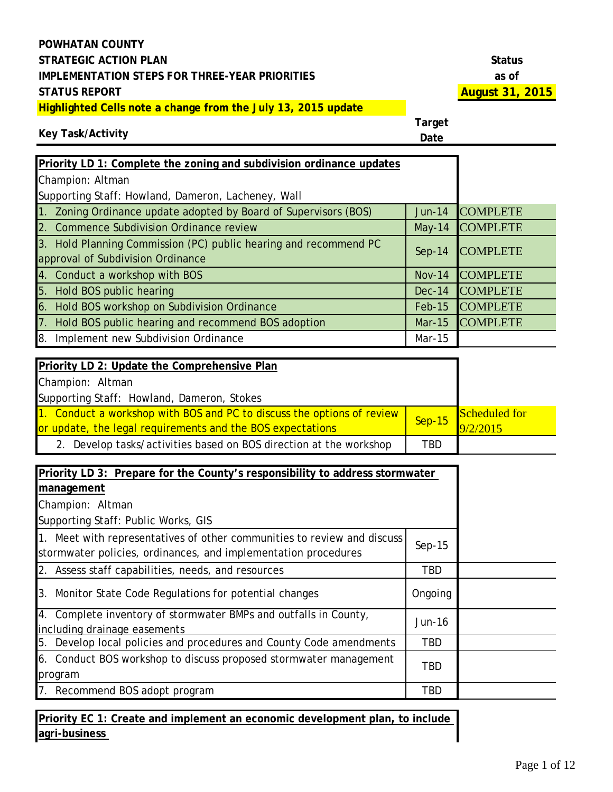**Key Task/Activity**

**Target Date**

| Priority LD 1: Complete the zoning and subdivision ordinance updates |               |                 |
|----------------------------------------------------------------------|---------------|-----------------|
| Champion: Altman                                                     |               |                 |
| Supporting Staff: Howland, Dameron, Lacheney, Wall                   |               |                 |
| Zoning Ordinance update adopted by Board of Supervisors (BOS)        | <b>Jun-14</b> | <b>COMPLETE</b> |
| <b>Commence Subdivision Ordinance review</b>                         | $May-14$      | <b>COMPLETE</b> |
| 3. Hold Planning Commission (PC) public hearing and recommend PC     | $Sep-14$      | <b>COMPLETE</b> |
| approval of Subdivision Ordinance                                    |               |                 |
| Conduct a workshop with BOS<br><b>14</b>                             | <b>Nov-14</b> | <b>COMPLETE</b> |
| Hold BOS public hearing<br><b>5</b> .                                | $Dec-14$      | <b>COMPLETE</b> |
| Hold BOS workshop on Subdivision Ordinance<br>16                     | <b>Feb-15</b> | <b>COMPLETE</b> |
| Hold BOS public hearing and recommend BOS adoption                   | <b>Mar-15</b> | <b>COMPLETE</b> |
| Implement new Subdivision Ordinance<br>I8.                           | Mar-15        |                 |
|                                                                      |               |                 |
| Priority LD 2: Update the Comprehensive Plan                         |               |                 |
| Champion: Altman                                                     |               |                 |
|                                                                      |               |                 |

| Supporting Staff: Howland, Dameron, Stokes                             |     |                                                          |
|------------------------------------------------------------------------|-----|----------------------------------------------------------|
| 1. Conduct a workshop with BOS and PC to discuss the options of review |     | Scheduled for<br>$\frac{3.1000}{\text{Sep-15}}$ 9/2/2015 |
| or update, the legal requirements and the BOS expectations             |     |                                                          |
| 2. Develop tasks/activities based on BOS direction at the workshop     | TBD |                                                          |

| Priority LD 3: Prepare for the County's responsibility to address stormwater                                                              |            |  |
|-------------------------------------------------------------------------------------------------------------------------------------------|------------|--|
| management                                                                                                                                |            |  |
| Champion: Altman                                                                                                                          |            |  |
| Supporting Staff: Public Works, GIS                                                                                                       |            |  |
| 1. Meet with representatives of other communities to review and discuss<br>stormwater policies, ordinances, and implementation procedures | $Sep-15$   |  |
| 2. Assess staff capabilities, needs, and resources                                                                                        | TBD        |  |
| 3. Monitor State Code Regulations for potential changes                                                                                   | Ongoing    |  |
| 4. Complete inventory of stormwater BMPs and outfalls in County,<br>including drainage easements                                          | Jun-16     |  |
| 5. Develop local policies and procedures and County Code amendments                                                                       | <b>TBD</b> |  |
| 6. Conduct BOS workshop to discuss proposed stormwater management<br>program                                                              | TBD        |  |
| 7. Recommend BOS adopt program                                                                                                            | TBD        |  |

**Priority EC 1: Create and implement an economic development plan, to include agri-business**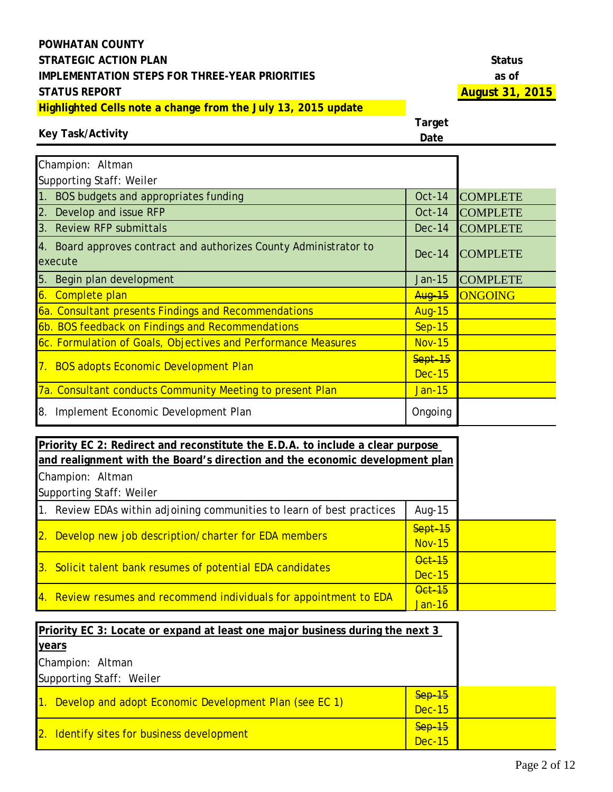| Status |
|--------|
| as of  |
| ้น     |

#### **Key Task/Activity**

| Champion: Altman                                                             |               |                 |
|------------------------------------------------------------------------------|---------------|-----------------|
| Supporting Staff: Weiler                                                     |               |                 |
| 1. BOS budgets and appropriates funding                                      | Oct-14        | <b>COMPLETE</b> |
| 2. Develop and issue RFP                                                     | $Oct-14$      | <b>COMPLETE</b> |
| 3. Review RFP submittals                                                     | $Dec-14$      | <b>COMPLETE</b> |
| 4. Board approves contract and authorizes County Administrator to<br>execute | $Dec-14$      | <b>COMPLETE</b> |
| 5. Begin plan development                                                    | $Jan-15$      | <b>COMPLETE</b> |
| 6. Complete plan                                                             | <b>Aug-15</b> | ONGOING         |
| 6a. Consultant presents Findings and Recommendations                         | <b>Aug-15</b> |                 |
| 6b. BOS feedback on Findings and Recommendations                             | <b>Sep-15</b> |                 |
| 6c. Formulation of Goals, Objectives and Performance Measures                | <b>Nov-15</b> |                 |
| 7. BOS adopts Economic Development Plan                                      | Sept-15       |                 |
|                                                                              | <b>Dec-15</b> |                 |
| 7a. Consultant conducts Community Meeting to present Plan                    | Jan-15        |                 |
| 8. Implement Economic Development Plan                                       | Ongoing       |                 |

| Priority EC 2: Redirect and reconstitute the E.D.A. to include a clear purpose |               |  |
|--------------------------------------------------------------------------------|---------------|--|
| and realignment with the Board's direction and the economic development plan   |               |  |
| Champion: Altman                                                               |               |  |
| Supporting Staff: Weiler                                                       |               |  |
| 1. Review EDAs within adjoining communities to learn of best practices         | Aug-15        |  |
| 2. Develop new job description/charter for EDA members                         | Sept-15       |  |
|                                                                                | <b>Nov-15</b> |  |
| 3. Solicit talent bank resumes of potential EDA candidates                     | <b>Oct 15</b> |  |
|                                                                                | <b>Dec-15</b> |  |
| 4. Review resumes and recommend individuals for appointment to EDA             | <b>Oct-15</b> |  |
|                                                                                | $Jan-16$      |  |

| <b>Priority EC 3: Locate or expand at least one major business during the next 3</b> |               |  |
|--------------------------------------------------------------------------------------|---------------|--|
| years                                                                                |               |  |
| Champion: Altman                                                                     |               |  |
| Supporting Staff: Weiler                                                             |               |  |
| 1. Develop and adopt Economic Development Plan (see EC 1)                            | $Sep-15$      |  |
|                                                                                      |               |  |
| 2. Identify sites for business development                                           | $Sep-15$      |  |
|                                                                                      | <b>Dec-15</b> |  |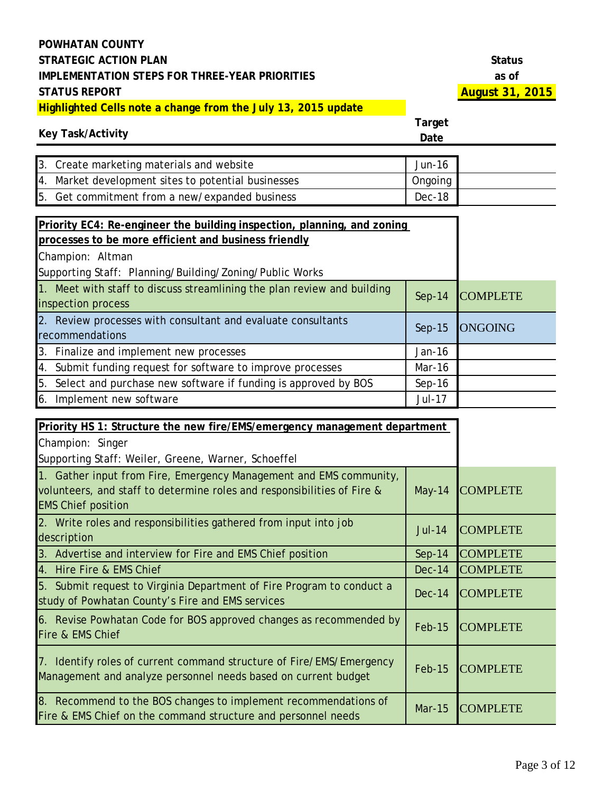#### **Key Task/Activity**

| 3. Create marketing materials and website           | Jun-16  |
|-----------------------------------------------------|---------|
| 4. Market development sites to potential businesses | Ongoing |
| 5. Get commitment from a new/expanded business      | Dec-18  |

| Priority EC4: Re-engineer the building inspection, planning, and zoning                       |               |                 |
|-----------------------------------------------------------------------------------------------|---------------|-----------------|
| processes to be more efficient and business friendly                                          |               |                 |
| Champion: Altman                                                                              |               |                 |
| Supporting Staff: Planning/Building/Zoning/Public Works                                       |               |                 |
| 1. Meet with staff to discuss streamlining the plan review and building<br>inspection process | $Sep-14$      | <b>COMPLETE</b> |
| 2. Review processes with consultant and evaluate consultants<br>recommendations               | $Sep-15$      | <b>ONGOING</b>  |
| 3. Finalize and implement new processes                                                       | Jan-16        |                 |
| 4. Submit funding request for software to improve processes                                   | Mar-16        |                 |
| 5. Select and purchase new software if funding is approved by BOS                             | $Sep-16$      |                 |
| 6. Implement new software                                                                     | <b>Jul-17</b> |                 |

| Priority HS 1: Structure the new fire/EMS/emergency management department                                                                                                  |               |                 |
|----------------------------------------------------------------------------------------------------------------------------------------------------------------------------|---------------|-----------------|
| Champion: Singer                                                                                                                                                           |               |                 |
| Supporting Staff: Weiler, Greene, Warner, Schoeffel                                                                                                                        |               |                 |
| 1. Gather input from Fire, Emergency Management and EMS community,<br>volunteers, and staff to determine roles and responsibilities of Fire &<br><b>EMS Chief position</b> | $May-14$      | <b>COMPLETE</b> |
| 2. Write roles and responsibilities gathered from input into job<br>description                                                                                            | <b>Jul-14</b> | <b>COMPLETE</b> |
| 3. Advertise and interview for Fire and EMS Chief position                                                                                                                 | $Sep-14$      | <b>COMPLETE</b> |
| 4. Hire Fire & EMS Chief                                                                                                                                                   | <b>Dec-14</b> | <b>COMPLETE</b> |
| 5. Submit request to Virginia Department of Fire Program to conduct a<br>study of Powhatan County's Fire and EMS services                                                  | $Dec-14$      | <b>COMPLETE</b> |
| 6. Revise Powhatan Code for BOS approved changes as recommended by<br>Fire & EMS Chief                                                                                     | $Feb-15$      | <b>COMPLETE</b> |
| 7. Identify roles of current command structure of Fire/EMS/Emergency<br>Management and analyze personnel needs based on current budget                                     | $Feb-15$      | <b>COMPLETE</b> |
| 8. Recommend to the BOS changes to implement recommendations of<br>Fire & EMS Chief on the command structure and personnel needs                                           | <b>Mar-15</b> | <b>COMPLETE</b> |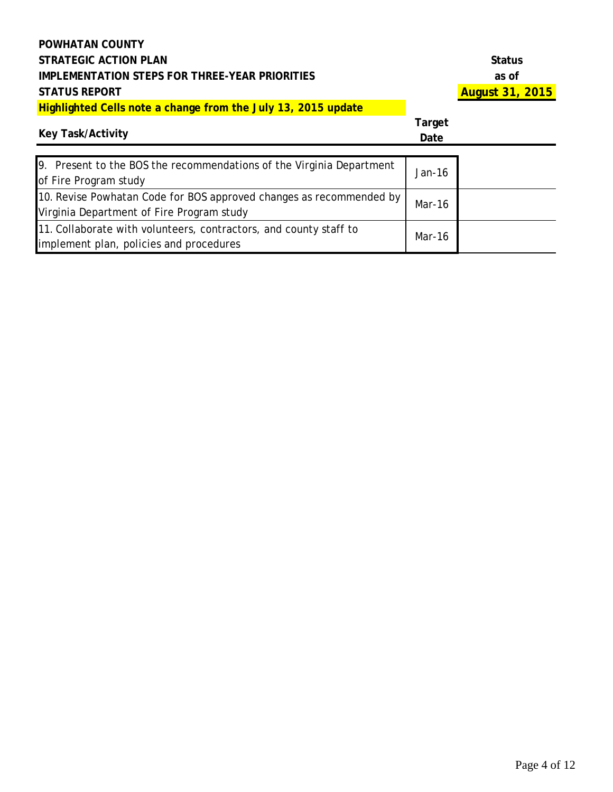| Status                 |
|------------------------|
| as of                  |
| <b>August 31, 2015</b> |

#### **Key Task/Activity**

**Target** 

| <b>Key Task/Activity</b>                                                                                         | Date   |  |
|------------------------------------------------------------------------------------------------------------------|--------|--|
| 9. Present to the BOS the recommendations of the Virginia Department<br>of Fire Program study                    | Jan-16 |  |
| 10. Revise Powhatan Code for BOS approved changes as recommended by<br>Virginia Department of Fire Program study | Mar-16 |  |
| 11. Collaborate with volunteers, contractors, and county staff to<br>implement plan, policies and procedures     | Mar-16 |  |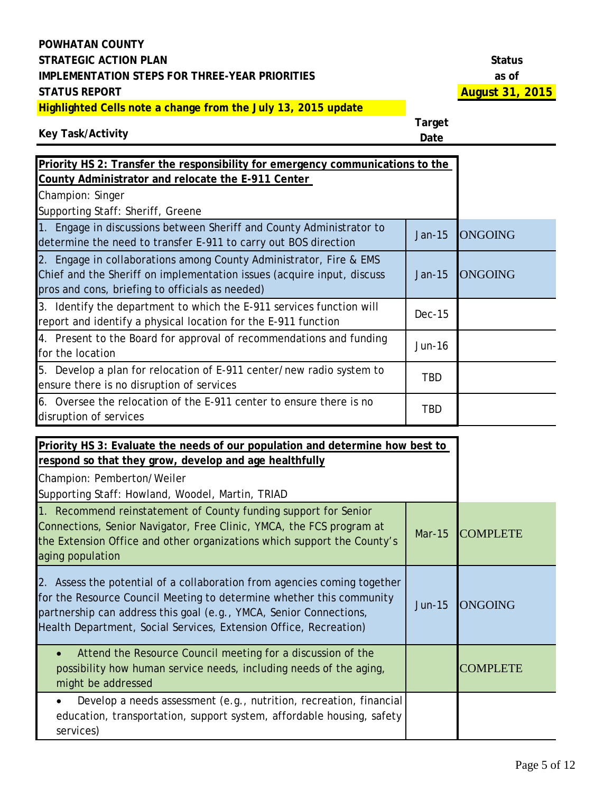#### **Key Task/Activity**

**Target Date**

| Priority HS 2: Transfer the responsibility for emergency communications to the                                                                                                                                                         |               |                 |
|----------------------------------------------------------------------------------------------------------------------------------------------------------------------------------------------------------------------------------------|---------------|-----------------|
| County Administrator and relocate the E-911 Center                                                                                                                                                                                     |               |                 |
| Champion: Singer                                                                                                                                                                                                                       |               |                 |
| Supporting Staff: Sheriff, Greene                                                                                                                                                                                                      |               |                 |
| 1. Engage in discussions between Sheriff and County Administrator to<br>determine the need to transfer E-911 to carry out BOS direction                                                                                                | <b>Jan-15</b> | <b>ONGOING</b>  |
| 2. Engage in collaborations among County Administrator, Fire & EMS<br>Chief and the Sheriff on implementation issues (acquire input, discuss<br>pros and cons, briefing to officials as needed)                                        | Jan-15        | <b>ONGOING</b>  |
| 3. Identify the department to which the E-911 services function will<br>report and identify a physical location for the E-911 function                                                                                                 | <b>Dec-15</b> |                 |
| 4. Present to the Board for approval of recommendations and funding<br>for the location                                                                                                                                                | <b>Jun-16</b> |                 |
| 5. Develop a plan for relocation of E-911 center/new radio system to<br>ensure there is no disruption of services                                                                                                                      | <b>TBD</b>    |                 |
| 6. Oversee the relocation of the E-911 center to ensure there is no<br>disruption of services                                                                                                                                          | <b>TBD</b>    |                 |
| Priority HS 3: Evaluate the needs of our population and determine how best to<br>respond so that they grow, develop and age healthfully<br>Champion: Pemberton/Weiler<br>Supporting Staff: Howland, Woodel, Martin, TRIAD              |               |                 |
| 1. Recommend reinstatement of County funding support for Senior<br>Connections, Senior Navigator, Free Clinic, YMCA, the FCS program at<br>the Extension Office and other organizations which support the County's<br>aging population | <b>Mar-15</b> | <b>COMPLETE</b> |
| 2. Assess the potential of a collaboration from agencies coming together                                                                                                                                                               |               |                 |

for the Resource Council Meeting to determine whether this community

partnership can address this goal (e.g., YMCA, Senior Connections, Health Department, Social Services, Extension Office, Recreation)

Jun-15 ONGOING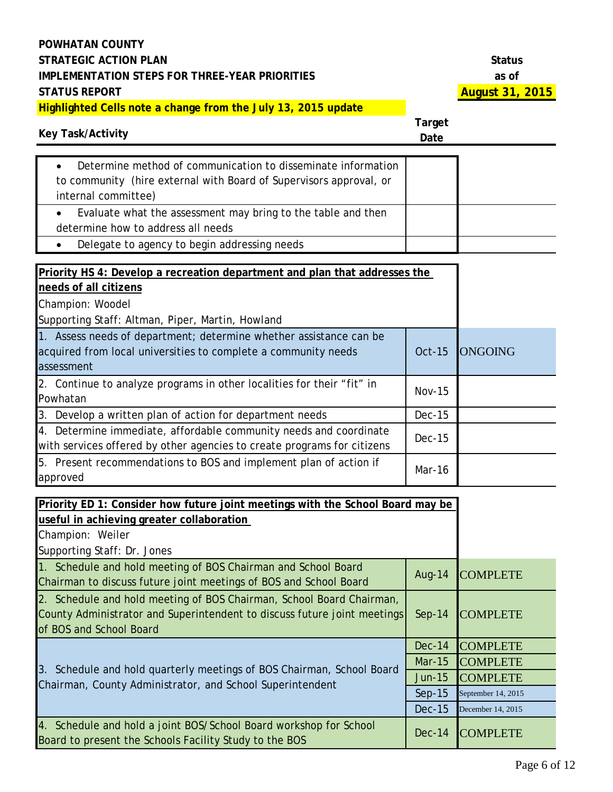| <b>Key Task/Activity</b>                                                                                                                                                       | Target<br>Date |                    |
|--------------------------------------------------------------------------------------------------------------------------------------------------------------------------------|----------------|--------------------|
| Determine method of communication to disseminate information<br>$\bullet$<br>to community (hire external with Board of Supervisors approval, or<br>internal committee)         |                |                    |
| Evaluate what the assessment may bring to the table and then<br>$\bullet$<br>determine how to address all needs                                                                |                |                    |
| Delegate to agency to begin addressing needs                                                                                                                                   |                |                    |
| Priority HS 4: Develop a recreation department and plan that addresses the<br>needs of all citizens<br>Champion: Woodel<br>Supporting Staff: Altman, Piper, Martin, Howland    |                |                    |
| 1. Assess needs of department; determine whether assistance can be<br>acquired from local universities to complete a community needs<br>assessment                             | <b>Oct-15</b>  | <b>ONGOING</b>     |
| 2. Continue to analyze programs in other localities for their "fit" in<br>Powhatan                                                                                             | <b>Nov-15</b>  |                    |
| 3. Develop a written plan of action for department needs                                                                                                                       | <b>Dec-15</b>  |                    |
| 4. Determine immediate, affordable community needs and coordinate<br>with services offered by other agencies to create programs for citizens                                   | <b>Dec-15</b>  |                    |
| 5. Present recommendations to BOS and implement plan of action if<br>approved                                                                                                  | Mar-16         |                    |
| Priority ED 1: Consider how future joint meetings with the School Board may be<br>useful in achieving greater collaboration<br>Champion: Weiler<br>Supporting Staff: Dr. Jones |                |                    |
| 1. Schedule and hold meeting of BOS Chairman and School Board<br>Chairman to discuss future joint meetings of BOS and School Board                                             | <b>Aug-14</b>  | <b>COMPLETE</b>    |
| 2. Schedule and hold meeting of BOS Chairman, School Board Chairman,<br>County Administrator and Superintendent to discuss future joint meetings<br>of BOS and School Board    | $Sep-14$       | <b>COMPLETE</b>    |
|                                                                                                                                                                                | <b>Dec-14</b>  | <b>COMPLETE</b>    |
| 3. Schedule and hold quarterly meetings of BOS Chairman, School Board<br>Chairman, County Administrator, and School Superintendent                                             | <b>Mar-15</b>  | <b>COMPLETE</b>    |
|                                                                                                                                                                                | Jun-15         | <b>COMPLETE</b>    |
|                                                                                                                                                                                | $Sep-15$       | September 14, 2015 |
|                                                                                                                                                                                | <b>Dec-15</b>  | December 14, 2015  |
| 4. Schedule and hold a joint BOS/School Board workshop for School<br>Board to present the Schools Facility Study to the BOS                                                    | <b>Dec-14</b>  | <b>COMPLETE</b>    |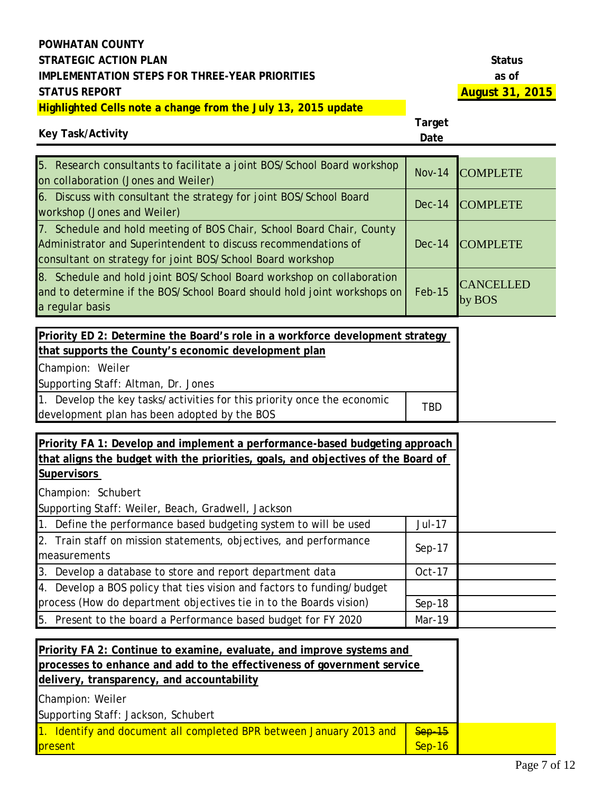# **Key Task/Activity**

| 5. Research consultants to facilitate a joint BOS/School Board workshop<br>on collaboration (Jones and Weiler)                                                                                        | $Nov-14$ | <b>COMPLETE</b>            |
|-------------------------------------------------------------------------------------------------------------------------------------------------------------------------------------------------------|----------|----------------------------|
| 6. Discuss with consultant the strategy for joint BOS/School Board<br>workshop (Jones and Weiler)                                                                                                     | $Dec-14$ | <b>COMPLETE</b>            |
| 7. Schedule and hold meeting of BOS Chair, School Board Chair, County<br>Administrator and Superintendent to discuss recommendations of<br>consultant on strategy for joint BOS/School Board workshop | $Dec-14$ | <b>COMPLETE</b>            |
| 8. Schedule and hold joint BOS/School Board workshop on collaboration<br>and to determine if the BOS/School Board should hold joint workshops on<br>a regular basis                                   | $Feb-15$ | <b>CANCELLED</b><br>by BOS |
|                                                                                                                                                                                                       |          |                            |

| Priority ED 2: Determine the Board's role in a workforce development strategy                                           |            |
|-------------------------------------------------------------------------------------------------------------------------|------------|
| that supports the County's economic development plan                                                                    |            |
| Champion: Weiler                                                                                                        |            |
| Supporting Staff: Altman, Dr. Jones                                                                                     |            |
| 1. Develop the key tasks/activities for this priority once the economic<br>development plan has been adopted by the BOS | <b>TBD</b> |

| Priority FA 1: Develop and implement a performance-based budgeting approach       |               |  |
|-----------------------------------------------------------------------------------|---------------|--|
| that aligns the budget with the priorities, goals, and objectives of the Board of |               |  |
| <b>Supervisors</b>                                                                |               |  |
| Champion: Schubert                                                                |               |  |
| Supporting Staff: Weiler, Beach, Gradwell, Jackson                                |               |  |
| 1. Define the performance based budgeting system to will be used                  | <b>Jul-17</b> |  |
| 2. Train staff on mission statements, objectives, and performance                 | $Sep-17$      |  |
| measurements                                                                      |               |  |
| 3. Develop a database to store and report department data                         | Oct-17        |  |
| 4. Develop a BOS policy that ties vision and factors to funding/budget            |               |  |
| process (How do department objectives tie in to the Boards vision)                | $Sep-18$      |  |
| 5. Present to the board a Performance based budget for FY 2020                    | Mar-19        |  |

| Priority FA 2: Continue to examine, evaluate, and improve systems and   |               |  |
|-------------------------------------------------------------------------|---------------|--|
| processes to enhance and add to the effectiveness of government service |               |  |
| delivery, transparency, and accountability                              |               |  |
| Champion: Weiler                                                        |               |  |
| Supporting Staff: Jackson, Schubert                                     |               |  |
| 1. Identify and document all completed BPR between January 2013 and     | $Sep-15$      |  |
| present                                                                 | <b>Sep-16</b> |  |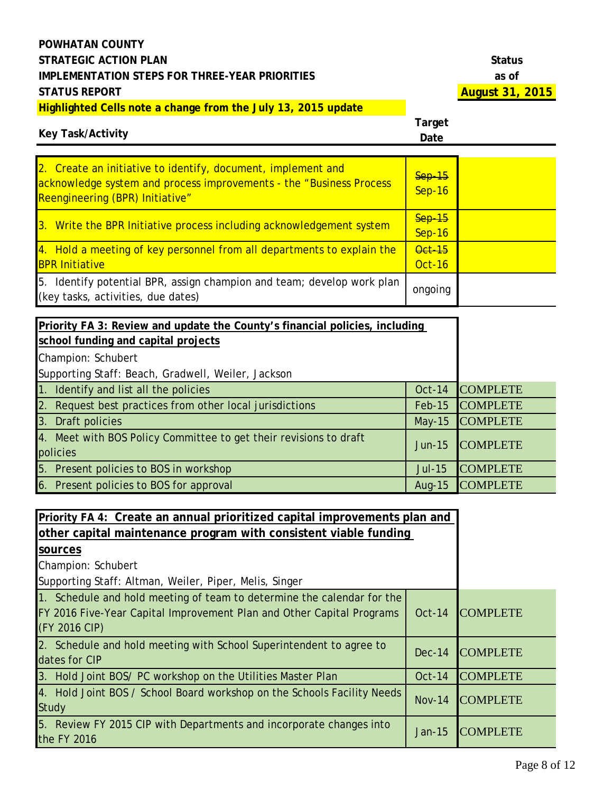# **Key Task/Activity**

| 2. Create an initiative to identify, document, implement and<br>acknowledge system and process improvements - the "Business Process"<br>Reengineering (BPR) Initiative" | $Sep-15$<br><b>Sep-16</b>      |  |
|-------------------------------------------------------------------------------------------------------------------------------------------------------------------------|--------------------------------|--|
| 3. Write the BPR Initiative process including acknowledgement system                                                                                                    | $Sep-15$<br>$Sep-16$           |  |
| 4. Hold a meeting of key personnel from all departments to explain the<br><b>BPR Initiative</b>                                                                         | <b>Oct-15</b><br><b>Oct-16</b> |  |
| 5. Identify potential BPR, assign champion and team; develop work plan<br>(key tasks, activities, due dates)                                                            | ongoing                        |  |

| Priority FA 3: Review and update the County's financial policies, including<br>school funding and capital projects |               |                 |
|--------------------------------------------------------------------------------------------------------------------|---------------|-----------------|
| Champion: Schubert                                                                                                 |               |                 |
| Supporting Staff: Beach, Gradwell, Weiler, Jackson                                                                 |               |                 |
| 1. Identify and list all the policies                                                                              | <b>Oct-14</b> | <b>COMPLETE</b> |
| 2. Request best practices from other local jurisdictions                                                           | Feb-15        | <b>COMPLETE</b> |
| 3. Draft policies                                                                                                  | May-15        | <b>COMPLETE</b> |
| 4. Meet with BOS Policy Committee to get their revisions to draft<br>policies                                      | $Jun-15$      | <b>COMPLETE</b> |
| 5. Present policies to BOS in workshop                                                                             | $Jul-15$      | <b>COMPLETE</b> |
| 6. Present policies to BOS for approval                                                                            | Aug- $15$     | <b>COMPLETE</b> |

| Priority FA 4: Create an annual prioritized capital improvements plan and<br>other capital maintenance program with consistent viable funding                    |               |                 |
|------------------------------------------------------------------------------------------------------------------------------------------------------------------|---------------|-----------------|
| sources                                                                                                                                                          |               |                 |
| Champion: Schubert                                                                                                                                               |               |                 |
| Supporting Staff: Altman, Weiler, Piper, Melis, Singer                                                                                                           |               |                 |
| 1. Schedule and hold meeting of team to determine the calendar for the<br>FY 2016 Five-Year Capital Improvement Plan and Other Capital Programs<br>(FY 2016 CIP) | <b>Oct-14</b> | <b>COMPLETE</b> |
| 2. Schedule and hold meeting with School Superintendent to agree to<br>dates for CIP                                                                             | $Dec-14$      | <b>COMPLETE</b> |
| 3. Hold Joint BOS/ PC workshop on the Utilities Master Plan                                                                                                      | $Oct-14$      | <b>COMPLETE</b> |
| 4. Hold Joint BOS / School Board workshop on the Schools Facility Needs<br><b>Study</b>                                                                          | <b>Nov-14</b> | <b>COMPLETE</b> |
| 5. Review FY 2015 CIP with Departments and incorporate changes into<br>the FY 2016                                                                               | $Jan-15$      | <b>COMPLETE</b> |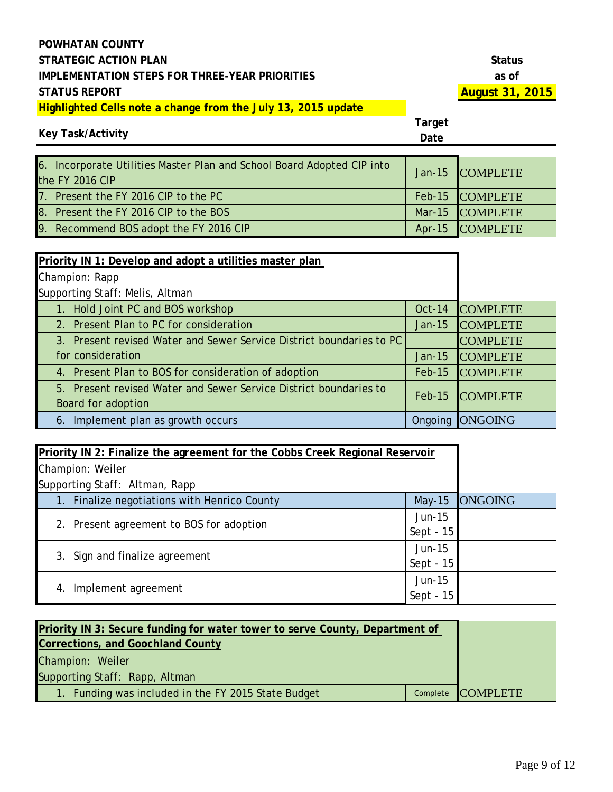| <b>Status</b> |  |
|---------------|--|
| as of         |  |
| August        |  |

#### **Key Task/Activity**

| 6. Incorporate Utilities Master Plan and School Board Adopted CIP into<br>the FY 2016 CIP | Jan-15 COMPLETE |
|-------------------------------------------------------------------------------------------|-----------------|
| 7. Present the FY 2016 CIP to the PC                                                      | Feb-15 COMPLETE |
| 8. Present the FY 2016 CIP to the BOS                                                     | Mar-15 COMPLETE |
| 9. Recommend BOS adopt the FY 2016 CIP                                                    | Apr-15 COMPLETE |

| Priority IN 1: Develop and adopt a utilities master plan             |          |                 |
|----------------------------------------------------------------------|----------|-----------------|
| Champion: Rapp                                                       |          |                 |
| Supporting Staff: Melis, Altman                                      |          |                 |
| 1. Hold Joint PC and BOS workshop                                    | Oct-14   | <b>COMPLETE</b> |
| 2. Present Plan to PC for consideration                              | $Jan-15$ | <b>COMPLETE</b> |
| 3. Present revised Water and Sewer Service District boundaries to PC |          | <b>COMPLETE</b> |
| for consideration                                                    | $Jan-15$ | <b>COMPLETE</b> |
| 4. Present Plan to BOS for consideration of adoption                 | $Feb-15$ | <b>COMPLETE</b> |
| 5. Present revised Water and Sewer Service District boundaries to    | $Feb-15$ | <b>COMPLETE</b> |
| Board for adoption                                                   |          |                 |
| 6. Implement plan as growth occurs                                   | Ongoing  | <b>ONGOING</b>  |

| Priority IN 2: Finalize the agreement for the Cobbs Creek Regional Reservoir |             |                |
|------------------------------------------------------------------------------|-------------|----------------|
| Champion: Weiler                                                             |             |                |
| Supporting Staff: Altman, Rapp                                               |             |                |
| 1. Finalize negotiations with Henrico County                                 | $May-15$    | <b>ONGOING</b> |
| 2. Present agreement to BOS for adoption                                     | $Jun-15$    |                |
|                                                                              | Sept - $15$ |                |
| 3. Sign and finalize agreement                                               | Jun-15      |                |
|                                                                              | Sept - 15   |                |
| Implement agreement<br>4.                                                    | $Jun-15$    |                |
|                                                                              | Sept - $15$ |                |

| Priority IN 3: Secure funding for water tower to serve County, Department of |  |                   |
|------------------------------------------------------------------------------|--|-------------------|
| <b>Corrections, and Goochland County</b>                                     |  |                   |
| Champion: Weiler                                                             |  |                   |
| Supporting Staff: Rapp, Altman                                               |  |                   |
| 1. Funding was included in the FY 2015 State Budget                          |  | Complete COMPLETE |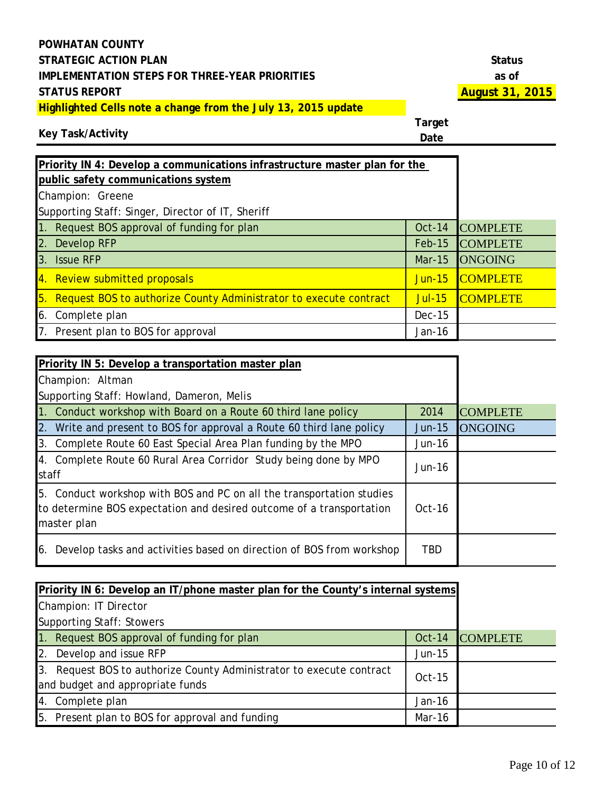# **Key Task/Activity**

| Priority IN 4: Develop a communications infrastructure master plan for the<br>public safety communications system |               |                 |
|-------------------------------------------------------------------------------------------------------------------|---------------|-----------------|
| Champion: Greene                                                                                                  |               |                 |
| Supporting Staff: Singer, Director of IT, Sheriff                                                                 |               |                 |
| 1. Request BOS approval of funding for plan                                                                       | <b>Oct-14</b> | <b>COMPLETE</b> |
| 2. Develop RFP                                                                                                    | $Feb-15$      | <b>COMPLETE</b> |
| 3.<br><b>Issue RFP</b>                                                                                            | <b>Mar-15</b> | <b>ONGOING</b>  |
| 4. Review submitted proposals                                                                                     | <b>Jun-15</b> | <b>COMPLETE</b> |
| 5. Request BOS to authorize County Administrator to execute contract                                              | <b>Jul-15</b> | <b>COMPLETE</b> |
| Complete plan<br>6.                                                                                               | $Dec-15$      |                 |
| 7. Present plan to BOS for approval                                                                               | Jan-16        |                 |

| Priority IN 5: Develop a transportation master plan                                                                                                          |            |                 |
|--------------------------------------------------------------------------------------------------------------------------------------------------------------|------------|-----------------|
| Champion: Altman                                                                                                                                             |            |                 |
| Supporting Staff: Howland, Dameron, Melis                                                                                                                    |            |                 |
| 1. Conduct workshop with Board on a Route 60 third lane policy                                                                                               | 2014       | <b>COMPLETE</b> |
| 2. Write and present to BOS for approval a Route 60 third lane policy                                                                                        | $Jun-15$   | <b>ONGOING</b>  |
| 3. Complete Route 60 East Special Area Plan funding by the MPO                                                                                               | $Jun-16$   |                 |
| 4. Complete Route 60 Rural Area Corridor Study being done by MPO<br>staff                                                                                    | $Jun-16$   |                 |
| 5. Conduct workshop with BOS and PC on all the transportation studies<br>to determine BOS expectation and desired outcome of a transportation<br>master plan | $Oct-16$   |                 |
| Develop tasks and activities based on direction of BOS from workshop<br>16.                                                                                  | <b>TBD</b> |                 |

| Priority IN 6: Develop an IT/phone master plan for the County's internal systems                         |          |                 |
|----------------------------------------------------------------------------------------------------------|----------|-----------------|
| Champion: IT Director                                                                                    |          |                 |
| <b>Supporting Staff: Stowers</b>                                                                         |          |                 |
| 1. Request BOS approval of funding for plan                                                              | $Oct-14$ | <b>COMPLETE</b> |
| 2. Develop and issue RFP                                                                                 | Jun-15   |                 |
| 3. Request BOS to authorize County Administrator to execute contract<br>and budget and appropriate funds | $Oct-15$ |                 |
| 4. Complete plan                                                                                         | Jan-16   |                 |
| 5. Present plan to BOS for approval and funding                                                          | Mar-16   |                 |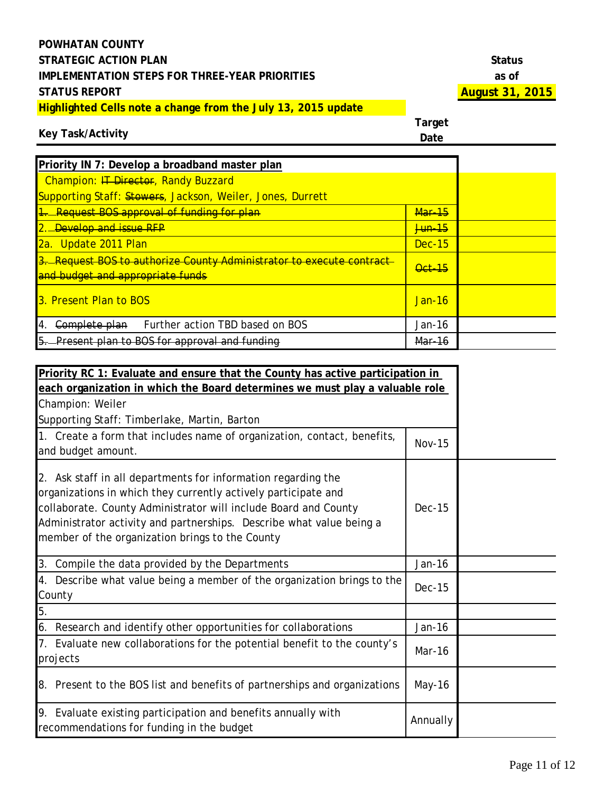# **Key Task/Activity**

| Priority IN 7: Develop a broadband master plan                                                           |               |  |
|----------------------------------------------------------------------------------------------------------|---------------|--|
| Champion: IT Director, Randy Buzzard                                                                     |               |  |
| Supporting Staff: Stowers, Jackson, Weiler, Jones, Durrett                                               |               |  |
| 1. Request BOS approval of funding for plan                                                              | <b>Mar-15</b> |  |
| 2. <b>Develop and issue RFP</b>                                                                          | <b>Jun-15</b> |  |
| 2a. Update 2011 Plan                                                                                     | Dec-15        |  |
| 3. Request BOS to authorize County Administrator to execute contract<br>and budget and appropriate funds | <b>Oct 15</b> |  |
| <b>13. Present Plan to BOS</b>                                                                           | Jan-16        |  |
| Further action TBD based on BOS<br>Complete plan<br>-4.                                                  | Jan-16        |  |
| $5-$<br>Present plan to BOS for approval and funding                                                     | Mar-16        |  |

| Priority RC 1: Evaluate and ensure that the County has active participation in                                                                                                                                                                                                                                                |               |  |
|-------------------------------------------------------------------------------------------------------------------------------------------------------------------------------------------------------------------------------------------------------------------------------------------------------------------------------|---------------|--|
| each organization in which the Board determines we must play a valuable role                                                                                                                                                                                                                                                  |               |  |
| Champion: Weiler                                                                                                                                                                                                                                                                                                              |               |  |
| Supporting Staff: Timberlake, Martin, Barton                                                                                                                                                                                                                                                                                  |               |  |
| 1. Create a form that includes name of organization, contact, benefits,<br>and budget amount.                                                                                                                                                                                                                                 | <b>Nov-15</b> |  |
| 2. Ask staff in all departments for information regarding the<br>organizations in which they currently actively participate and<br>collaborate. County Administrator will include Board and County<br>Administrator activity and partnerships. Describe what value being a<br>member of the organization brings to the County | <b>Dec-15</b> |  |
| 3. Compile the data provided by the Departments                                                                                                                                                                                                                                                                               | Jan-16        |  |
| 4. Describe what value being a member of the organization brings to the<br>County                                                                                                                                                                                                                                             | <b>Dec-15</b> |  |
| 5.                                                                                                                                                                                                                                                                                                                            |               |  |
| 6.<br>Research and identify other opportunities for collaborations                                                                                                                                                                                                                                                            | Jan-16        |  |
| 7. Evaluate new collaborations for the potential benefit to the county's<br>projects                                                                                                                                                                                                                                          | Mar-16        |  |
| 8. Present to the BOS list and benefits of partnerships and organizations                                                                                                                                                                                                                                                     | May-16        |  |
| 9. Evaluate existing participation and benefits annually with<br>recommendations for funding in the budget                                                                                                                                                                                                                    | Annually      |  |